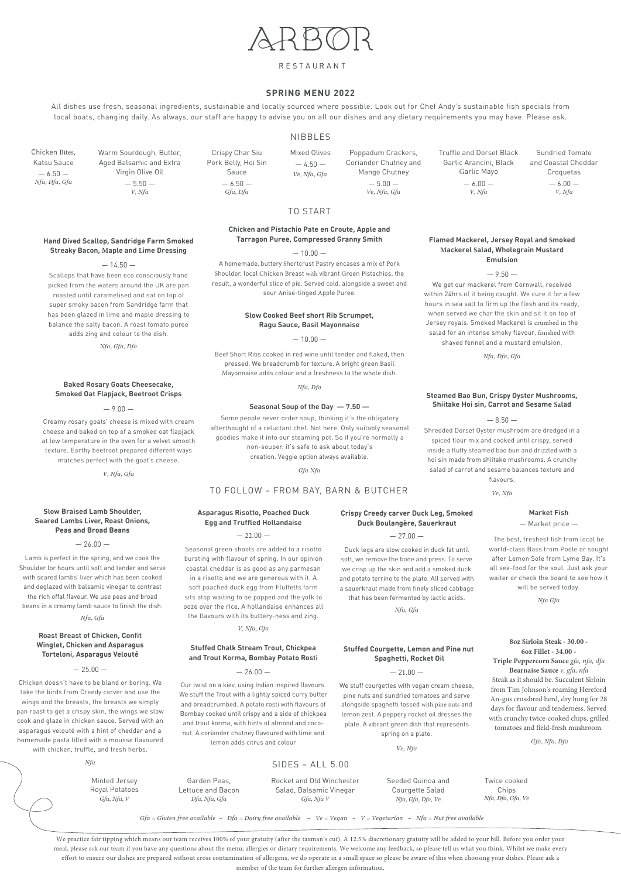# RESTAURANT

All dishes use fresh, seasonal ingredients, sustainable and locally sourced where possible. Look out for Chef Andy's sustainable fish specials from local boats, changing daily. As always, our staff are happy to advise you on all our dishes and any dietary requirements you may have. Please ask.

#### **SPRING MENU 2022**

#### NIBBLES

 *Gfa = Gluten free available ~ Dfa = Dairy free available ~ Ve = Vegan ~ V = Vegetarian ~ Nfa = Nut free available*

We practice fair tipping which means our team receives 100% of your gratuity (after the taxman's cut). A 12.5% discretionary gratuity will be added to your bill. Before you order your meal, please ask our team if you have any questions about the menu, allergies or dietary requirements. We welcome any feedback, so please tell us what you think. Whilst we make every effort to ensure our dishes are prepared without cross contamination of allergens, we do operate in a small space so please be aware of this when choosing your dishes. Please ask a member of the team for further allergen information.

**Hand Dived Scallop, Sandridge Farm Smoked Streaky Bacon, Maple and Lime Dressing** 

Scallops that have been eco consciously hand picked from the waters around the UK are pan roasted until caramelised and sat on top of super smoky bacon from Sandridge farm that has been glazed in lime and maple dressing to balance the salty bacon. A roast tomato puree adds zing and colour to the dish.

*Nfa, Gfa, Dfa*

#### **Baked Rosary Goats Cheesecake, Smoked Oat Flapjack, Beetroot Crisps**

 $-9.00 -$ 

Creamy rosary goats' cheese is mixed with cream cheese and baked on top of a smoked oat flapjack at low temperature in the oven for a velvet smooth texture. Earthy beetroot prepared different ways matches perfect with the goat's cheese.

*V, Nfa, Gfa*

#### **Slow Braised Lamb Shoulder, Seared Lambs Liver, Roast Onions, Peas and Broad Beans**

 $-26.00 -$ 

| Nfa            |                   | $SIDES - ALL 5.00$        |                   |                   |
|----------------|-------------------|---------------------------|-------------------|-------------------|
| Minted Jersey  | Garden Peas,      | Rocket and Old Winchester | Seeded Quinoa and | Twice cooked      |
| Royal Potatoes | Lettuce and Bacon | Salad, Balsamic Vinegar   | Courgette Salad   | Chips             |
| Gfa, Nfa, V    | Dfa, Nfa, Gfa     | Gfa, Nfa V                | Nfa, Gfa, Dfa, Ve | Nfa, Dfa, Gfa, Ve |

Lamb is perfect in the spring, and we cook the Shoulder for hours until soft and tender and serve with seared lambs' liver which has been cooked and deglazed with balsamic vinegar to contrast the rich offal flavour. We use peas and broad beans in a creamy lamb sauce to finish the dish. *Nfa, Gfa*

#### **Crispy Creedy carver Duck Leg, Smoked Duck Boulangère, Sauerkraut**

 $-27.00-$ 

Duck legs are slow cooked in duck fat until soft, we remove the bone and press. To serve we crisp up the skin and add a smoked duck and potato terrine to the plate. All served with a sauerkraut made from finely sliced cabbage

that has been fermented by lactic acids.

*Nfa, Gfa*

**Stuffed Courgette, Lemon and Pine nut Spaghetti, Rocket Oil**

We stuff courgettes with vegan cream cheese, pine nuts and sundried tomatoes and serve alongside spaghetti tossed with pine nuts and lemon zest. A peppery rocket oil dresses the plate. A vibrant green dish that represents spring on a plate.

*Ve, Nfa*

**Market Fish**

— Market price —

The best, freshest fish from local be world-class Bass from Poole or sought after Lemon Sole from Lyme Bay. It's all sea-food for the soul. Just ask your waiter or check the board to see how it will be served today.

*Nfa Gfa*

# Poppadum Crackers, Coriander Chutney and Mango Chutney *Ve, Nfa, Gfa*

 $-4.50-$ *Ve, Nfa, Gfa*

Crispy Char Siu Mixed Olives Pork Belly, Hoi Sin Sauce  $-6.50 -$ *Gfa, Dfa*

Sundried Tomato and Coastal Cheddar Croquetas  $-6.00 -$ *V, Nfa*

**8oz Sirloin Steak - 30.00 - 6oz Fillet - 34.00 - Triple Peppercorn Sauce** *gfa, nfa, dfa*  **Bearnaise Sauce** *v, gfa, nfa* Steak as it should be. Succulent Sirloin from Tim Johnson's roaming Hereford An-gus crossbred herd, dry hung for 28 days for flavour and tenderness. Served with crunchy twice-cooked chips, grilled tomatoes and field-fresh mushroom.

 $-25.00 -$ 

*Gfa, Nfa, Dfa*

**Roast Breast of Chicken, Confit Winglet, Chicken and Asparagus Torteloni, Asparagus Velouté**

Chicken doesn't have to be bland or boring. We take the birds from Creedy carver and use the wings and the breasts, the breasts we simply pan roast to get a crispy skin, the wings we slow cook and glaze in chicken sauce. Served with an asparagus velouté with a hint of cheddar and a homemade pasta filled with a mousse flavoured with chicken, truffle, and fresh herbs.

#### $-26.00 -$

#### **Asparagus Risotto, Poached Duck Egg and Truffled Hollandaise**

 $-22.00-$ 

Seasonal green shoots are added to a risotto bursting with flavour of spring. In our opinion coastal cheddar is as good as any parmesan in a risotto and we are generous with it. A soft poached duck egg from Fluffetts farm sits atop waiting to be popped and the yolk to ooze over the rice. A hollandaise enhances all the flavours with its buttery-ness and zing.

*V, Nfa, Gfa*

#### **Stuffed Chalk Stream Trout, Chickpea and Trout Korma, Bombay Potato Rosti**

Our twist on a kiev, using Indian inspired flavours. We stuff the Trout with a lightly spiced curry butter and breadcrumbed. A potato rosti with flavours of Bombay cooked until crispy and a side of chickpea and trout korma, with hints of almond and coconut. A coriander chutney flavoured with lime and lemon adds citrus and colour

 $-21.00-$ 

#### **Flamed Mackerel, Jersey Royal and Smoked Mackerel Salad, Wholegrain Mustard Emulsion**

 $-9.50-$ 

We get our mackerel from Cornwall, received within 24hrs of it being caught. We cure it for a few hours in sea salt to firm up the flesh and its ready, when served we char the skin and sit it on top of Jersey royals. Smoked Mackerel is crumbed in the salad for an intense smoky flavour, finished with shaved fennel and a mustard emulsion.

*Nfa, Dfa, Gfa*

#### **Steamed Bao Bun, Crispy Oyster Mushrooms, Shiitake Hoi sin, Carrot and Sesame Salad**

 $-8.50-$ 

Shredded Dorset Oyster mushroom are dredged in a spiced flour mix and cooked until crispy, served inside a fluffy steamed bao bun and drizzled with a hoi sin made from shiitake mushrooms. A crunchy salad of carrot and sesame balances texture and flavours.

*Ve, Nfa*

## TO START

#### **Chicken and Pistachio Pate en Croute, Apple and Tarragon Puree, Compressed Granny Smith**

 $-10.00 -$ 

A homemade, buttery Shortcrust Pastry encases a mix of Pork Shoulder, local Chicken Breast with vibrant Green Pistachios, the result, a wonderful slice of pie. Served cold, alongside a sweet and sour Anise-tinged Apple Puree.

#### **Slow Cooked Beef short Rib Scrumpet, Ragu Sauce, Basil Mayonnaise**

 $-10.00 -$ 

Beef Short Ribs cooked in red wine until tender and flaked, then pressed. We breadcrumb for texture. A bright green Basil Mayonnaise adds colour and a freshness to the whole dish.

*Nfa, Dfa*

#### **Seasonal Soup of the Day — 7.50 —**

Some people never order soup, thinking it's the obligatory afterthought of a reluctant chef. Not here. Only suitably seasonal goodies make it into our steaming pot. So if you're normally a non-souper, it's safe to ask about today's creation. Veggie option always available.

*Gfa Nfa*

## TO FOLLOW – FROM BAY, BARN & BUTCHER

Truffle and Dorset Black Garlic Arancini, Black Garlic Mayo  $-6.00 -$ *V, Nfa*

Chicken Bites, Katsu Sauce  $-6.50-$ *Nfa, Dfa, Gfa*

 $-14.50-$ 

Warm Sourdough, Butter, Aged Balsamic and Extra Virgin Olive Oil  $-5.50-$ *V, Nfa*